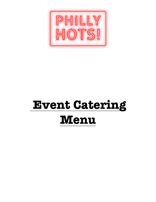

# **Event Catering Menu**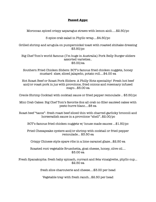#### **Passed Apps:**

Moroccan spiced crispy asparagus straws with lemon aioli.....\$2.50/pc

5 spice crab salad in Phyllo wrap....\$4.50/pc

Grilled shrimp and arugula on pumpernickel toast with roasted shiitake dressing \$3.50/pc

 Big Chef Tom's world famous (I'm huge in Australia) Pork Belly Burger sliders assorted varieties.. \$5.00/ea

Southern Fried Chicken Sliders: BCT's famous fried chicken nuggets, honey mustard slaw, sliced jalapeño, potato roll....\$4.00 ea

Hot Roast Beef or Roast Pork Sliders: A Philly Hots speciality! Fresh hot beef and/or roast pork in jus with provolone, fried onions and rosemary infused mayo…\$5.00 ea

Creole Shrimp Cocktail with cocktail sauce or fried pepper remoulade .. \$3.50/pc

Mini Crab Cakes: Big Chef Tom's favorite 2oz all crab no filler sautéed cakes with pesto burre blanc….\$8 ea

Roast beef "tacos"- fresh roast beef sliced thin with charred garlicky broccoli and horseradish sauce in a provolone "shell"..\$2.00/pc

BCT's famous fried chicken nuggets w/ house made sauces ...\$1.50/pc

Fried Chesapeake oysters and/or shrimp with cocktail or fried pepper remoulade... \$3.50 ea

Crispy Chinese style spare ribs in a lime caramel glaze...\$2.50 ea

Roasted root vegetable Bruschetta, goat cheese, honey, olive oil.... \$3.00 ea

Fresh Spanakopita: fresh baby spinach, currant and feta vinaigrette, phyllo cup... \$2.50 ea

fresh slice charcuterie and cheese....\$3.00 per head

Vegetable tray with fresh ranch...\$2.50 per head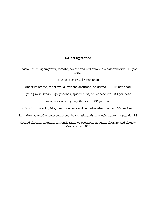# **Salad Options:**

Classic House: spring mix, tomato, carrot and red onion in a balsamic vin...\$5 per head

Classic Caesar.....\$5 per head

Cherry Tomato, mozzarella, brioche croutons, balsamic.........\$6 per head

Spring mix, Fresh Figs, peaches, spiced nuts, blu cheese vin...\$6 per head

Beets, melon, arugula, citrus vin...\$6 per head

Spinach, currants, feta, fresh oregano and red wine vinaigrette....\$6 per head

Romaine, roasted cherry tomatoes, bacon, almonds in creole honey mustard....\$8

Grilled shrimp, arugula, almonds and rye croutons in warm chorizo and sherry vinaigrette....\$10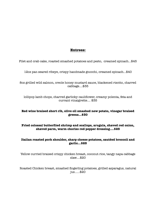# **Entrees:**

Filet and crab cake, roasted smashed potatoes and pesto, creamed spinach...\$45

12oz pan seared ribeye, crispy handmade gnocchi, creamed spinach...\$40

8oz grilled wild salmon, creole honey mustard sauce, blackened risotto, charred cabbage....\$35

lollipop lamb chops, charred garlicky cauliflower, creamy polenta, feta and currant vinaigrette.... \$35

# **Red wine braised short rib, olive oil smashed new potato, vinegar braised greens...\$30**

# **Fried colossal butterflied shrimp and scallops, arugula, shaved red onion, shaved parm, warm chorizo red pepper dressing....\$25**

#### **Italian roasted pork shoulder, sharp cheese potatoes, sautéed broccoli and garlic...\$25**

Yellow curried braised crispy chicken breast, coconut rice, tangy napa cabbage slaw....\$20

Roasted Chicken breast, smashed fingerling potatoes, grilled asparagus, natural jus......\$20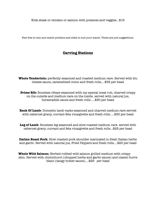Kids steak or chicken or salmon with potatoes and veggies...\$15

Feel free to mix and match proteins and sides to suit your wants. These are just suggestions.

# **Carving Stations**

**Whole Tenderloin:** perfectly seasoned and roasted medium rare. Served with blu cheese sauce, caramelized onion and fresh rolls....\$35 per head

**Prime Rib:** Boneless ribeye seasoned with my special meat rub, charred crispy on the outside and medium rare on the inside. served with natural jus, horseradish sauce and fresh rolls.....\$30 per head

**Rack Of Lamb**: Domestic lamb racks seasoned and charred medium rare served with cabernet gravy, currant feta vinaigrette and fresh rolls.....\$30 per head

Leg of Lamb: Boneless leg seasoned and slow roasted medium rare. served with cabernet gravy, currant and feta vinaigrette and fresh rolls...\$25 per head

**Italian Roast Pork**: Slow roasted pork shoulder marinated in fresh Italian herbs and garlic. Served with natural jus, Fried Peppers and fresh rolls....\$20 per head

**Whole Wild Salmon:** Herbed rubbed wild salmon grilled medium with crispy skin. Served with chimichurri (chopped herbs and garlic sauce) and classic burre blanc (tangy butter sauce)....\$25 per head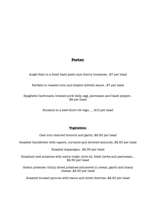# **Pastas:**

Angel Hair in a fresh basil pesto and cherry tomatoes...\$7 per head

Farfalle in roasted corn and shallot Alfredo sauce...\$7 per head

Spaghetti Carbonara: braised pork belly, egg, parmesan and black pepper... \$8 per head

Bucatini in a beef short rib ragu......\$10 per head

# **Vegetables:**

Cast iron charred broccoli and garlic..\$2.50 per head

Roasted Cauliflower with capers, currants and slivered almonds..\$2.50 per head

Roasted Asparagus...\$2.50 per head

Smashed new potatoes with extra virgin olive oil, fresh herbs and parmesan... \$2.50 per head

Gratin potatoes: thinly sliced potatoes simmered in cream, garlic and sharp cheese..\$2.50 per head

Roasted brussel sprouts with bacon and dried cherries..\$2.50 per head